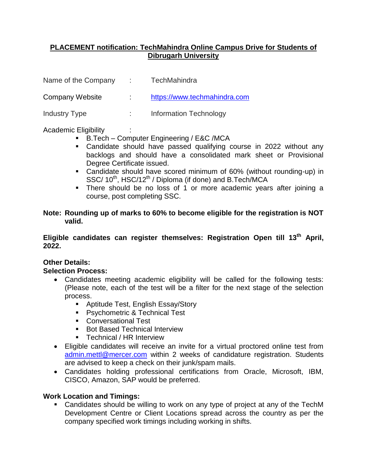## **PLACEMENT notification: TechMahindra Online Campus Drive for Students of Dibrugarh University**

Name of the Company : TechMahindra

Company Website : [https://www.techmahindra.com](https://www.techmahindra.com/)

Industry Type : Information Technology

Academic Eligibility :

- B.Tech Computer Engineering / E&C /MCA
- Candidate should have passed qualifying course in 2022 without any backlogs and should have a consolidated mark sheet or Provisional Degree Certificate issued.
- Candidate should have scored minimum of 60% (without rounding-up) in SSC/ 10<sup>th</sup>, HSC/12<sup>th</sup> / Diploma (if done) and B.Tech/MCA
- There should be no loss of 1 or more academic years after joining a course, post completing SSC.

#### **Note: Rounding up of marks to 60% to become eligible for the registration is NOT valid.**

## **Eligible candidates can register themselves: Registration Open till 13th April, 2022.**

# **Other Details:**

# **Selection Process:**

- Candidates meeting academic eligibility will be called for the following tests: (Please note, each of the test will be a filter for the next stage of the selection process.
	- Aptitude Test, English Essay/Story
	- **Psychometric & Technical Test**
	- Conversational Test
	- **Bot Based Technical Interview**
	- Technical / HR Interview
- Eligible candidates will receive an invite for a virtual proctored online test from [admin.mettl@mercer.com](mailto:admin.mettl@mercer.com) within 2 weeks of candidature registration. Students are advised to keep a check on their junk/spam mails.
- Candidates holding professional certifications from Oracle, Microsoft, IBM, CISCO, Amazon, SAP would be preferred.

#### **Work Location and Timings:**

 Candidates should be willing to work on any type of project at any of the TechM Development Centre or Client Locations spread across the country as per the company specified work timings including working in shifts.